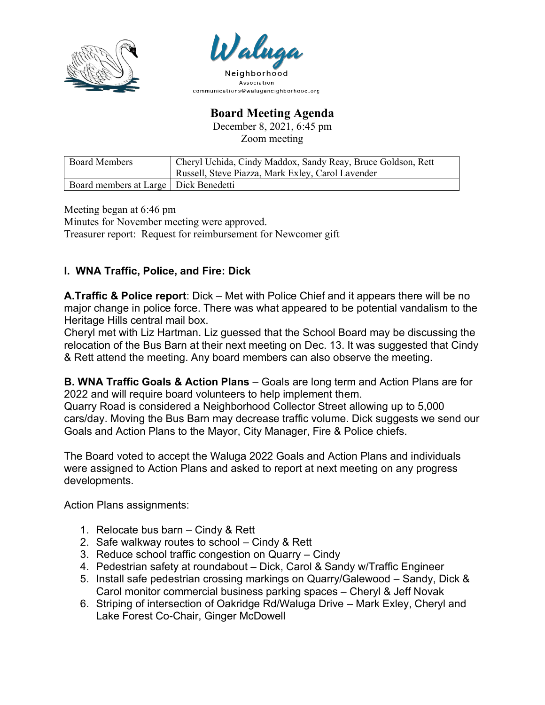



**Board Meeting Agenda**

December 8, 2021, 6:45 pm Zoom meeting

| <b>Board Members</b>                    | Cheryl Uchida, Cindy Maddox, Sandy Reay, Bruce Goldson, Rett |
|-----------------------------------------|--------------------------------------------------------------|
|                                         | Russell, Steve Piazza, Mark Exley, Carol Lavender            |
| Board members at Large   Dick Benedetti |                                                              |

Meeting began at 6:46 pm Minutes for November meeting were approved. Treasurer report: Request for reimbursement for Newcomer gift

## **I. WNA Traffic, Police, and Fire: Dick**

**A.Traffic & Police report**: Dick – Met with Police Chief and it appears there will be no major change in police force. There was what appeared to be potential vandalism to the Heritage Hills central mail box.

Cheryl met with Liz Hartman. Liz guessed that the School Board may be discussing the relocation of the Bus Barn at their next meeting on Dec. 13. It was suggested that Cindy & Rett attend the meeting. Any board members can also observe the meeting.

**B. WNA Traffic Goals & Action Plans** – Goals are long term and Action Plans are for 2022 and will require board volunteers to help implement them.

Quarry Road is considered a Neighborhood Collector Street allowing up to 5,000 cars/day. Moving the Bus Barn may decrease traffic volume. Dick suggests we send our Goals and Action Plans to the Mayor, City Manager, Fire & Police chiefs.

The Board voted to accept the Waluga 2022 Goals and Action Plans and individuals were assigned to Action Plans and asked to report at next meeting on any progress developments.

Action Plans assignments:

- 1. Relocate bus barn Cindy & Rett
- 2. Safe walkway routes to school Cindy & Rett
- 3. Reduce school traffic congestion on Quarry Cindy
- 4. Pedestrian safety at roundabout Dick, Carol & Sandy w/Traffic Engineer
- 5. Install safe pedestrian crossing markings on Quarry/Galewood Sandy, Dick & Carol monitor commercial business parking spaces – Cheryl & Jeff Novak
- 6. Striping of intersection of Oakridge Rd/Waluga Drive Mark Exley, Cheryl and Lake Forest Co-Chair, Ginger McDowell